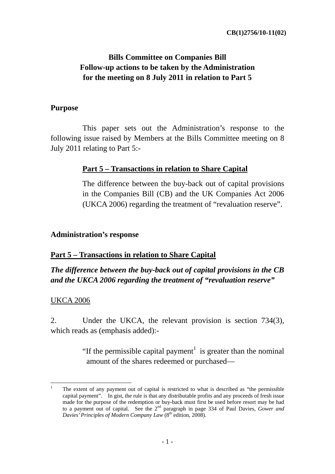# **Bills Committee on Companies Bill Follow-up actions to be taken by the Administration for the meeting on 8 July 2011 in relation to Part 5**

#### **Purpose**

This paper sets out the Administration's response to the following issue raised by Members at the Bills Committee meeting on 8 July 2011 relating to Part 5:-

### **Part 5 – Transactions in relation to Share Capital**

The difference between the buy-back out of capital provisions in the Companies Bill (CB) and the UK Companies Act 2006 (UKCA 2006) regarding the treatment of "revaluation reserve".

#### **Administration's response**

### **Part 5 – Transactions in relation to Share Capital**

## *The difference between the buy-back out of capital provisions in the CB and the UKCA 2006 regarding the treatment of "revaluation reserve"*

### UKCA 2006

2. Under the UKCA, the relevant provision is section 734(3), which reads as (emphasis added):-

> "If the permissible capital payment<sup>1</sup> is greater than the nominal amount of the shares redeemed or purchased—

<sup>1</sup> 1 The extent of any payment out of capital is restricted to what is described as "the permissible capital payment". In gist, the rule is that any distributable profits and any proceeds of fresh issue made for the purpose of the redemption or buy-back must first be used before resort may be had to a payment out of capital. See the 2nd paragraph in page 334 of Paul Davies, *Gower and Davies' Principles of Modern Company Law* (8<sup>th</sup> edition, 2008).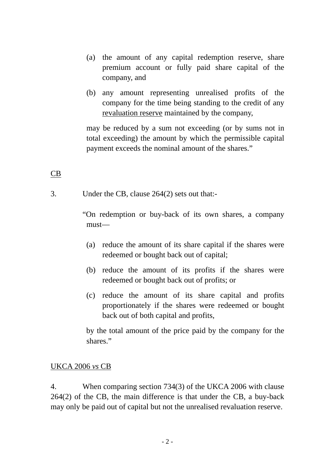- (a) the amount of any capital redemption reserve, share premium account or fully paid share capital of the company, and
- (b) any amount representing unrealised profits of the company for the time being standing to the credit of any revaluation reserve maintained by the company,

may be reduced by a sum not exceeding (or by sums not in total exceeding) the amount by which the permissible capital payment exceeds the nominal amount of the shares."

## CB

3. Under the CB, clause 264(2) sets out that:-

 "On redemption or buy-back of its own shares, a company must—

- (a) reduce the amount of its share capital if the shares were redeemed or bought back out of capital;
- (b) reduce the amount of its profits if the shares were redeemed or bought back out of profits; or
- (c) reduce the amount of its share capital and profits proportionately if the shares were redeemed or bought back out of both capital and profits,

by the total amount of the price paid by the company for the shares."

#### UKCA 2006 *vs* CB

4. When comparing section 734(3) of the UKCA 2006 with clause 264(2) of the CB, the main difference is that under the CB, a buy-back may only be paid out of capital but not the unrealised revaluation reserve.